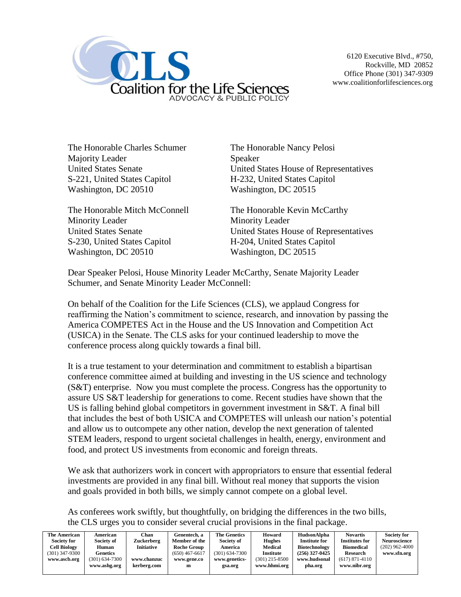

The Honorable Charles Schumer The Honorable Nancy Pelosi Majority Leader Speaker S-221, United States Capitol H-232, United States Capitol Washington, DC 20510 Washington, DC 20515

The Honorable Mitch McConnell The Honorable Kevin McCarthy Minority Leader Minority Leader S-230, United States Capitol H-204, United States Capitol Washington, DC 20510 Washington, DC 20515

United States Senate United States House of Representatives

United States Senate United States House of Representatives

Dear Speaker Pelosi, House Minority Leader McCarthy, Senate Majority Leader Schumer, and Senate Minority Leader McConnell:

On behalf of the Coalition for the Life Sciences (CLS), we applaud Congress for reaffirming the Nation's commitment to science, research, and innovation by passing the America COMPETES Act in the House and the US Innovation and Competition Act (USICA) in the Senate. The CLS asks for your continued leadership to move the conference process along quickly towards a final bill.

It is a true testament to your determination and commitment to establish a bipartisan conference committee aimed at building and investing in the US science and technology (S&T) enterprise. Now you must complete the process. Congress has the opportunity to assure US S&T leadership for generations to come. Recent studies have shown that the US is falling behind global competitors in government investment in S&T. A final bill that includes the best of both USICA and COMPETES will unleash our nation's potential and allow us to outcompete any other nation, develop the next generation of talented STEM leaders, respond to urgent societal challenges in health, energy, environment and food, and protect US investments from economic and foreign threats.

We ask that authorizers work in concert with appropriators to ensure that essential federal investments are provided in any final bill. Without real money that supports the vision and goals provided in both bills, we simply cannot compete on a global level.

As conferees work swiftly, but thoughtfully, on bridging the differences in the two bills, the CLS urges you to consider several crucial provisions in the final package.

| The American        | American         | Chan              | Genentech. a       | <b>The Genetics</b> | Howard           | HudsonAlpha          | <b>Novartis</b>       | <b>Society for</b>  |
|---------------------|------------------|-------------------|--------------------|---------------------|------------------|----------------------|-----------------------|---------------------|
| <b>Society for</b>  | Society of       | Zuckerberg        | Member of the      | Society of          | <b>Hughes</b>    | <b>Institute for</b> | <b>Institutes for</b> | <b>Neuroscience</b> |
| <b>Cell Biology</b> | Human            | <b>Initiative</b> | <b>Roche Group</b> | America             | Medical          | Biotechnology        | <b>Biomedical</b>     | $(202)$ 962-4000    |
| $(301)$ 347-9300    | <b>Genetics</b>  |                   | $(650)$ 467-6617   | $(301)$ 634-7300    | Institute        | $(256)$ 327-0425     | <b>Research</b>       | www.sfn.org         |
| www.ascb.org        | $(301)$ 634-7300 | www.chanzuc       | www.gene.co        | www.genetics-       | $(301)$ 215-8500 | www.hudsonal         | $(617)$ 871-4110      |                     |
|                     | www.ashg.org     | kerberg.com       | m                  | gsa.org             | www.hhmi.org     | pha.org              | www.nibr.org          |                     |
|                     |                  |                   |                    |                     |                  |                      |                       |                     |